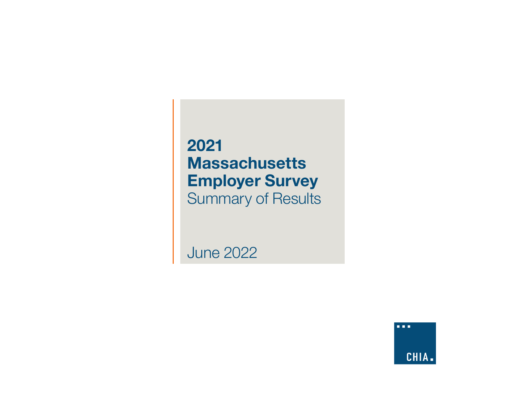# **2021 Massachusetts Employer Survey** Summary of Results

June 2022

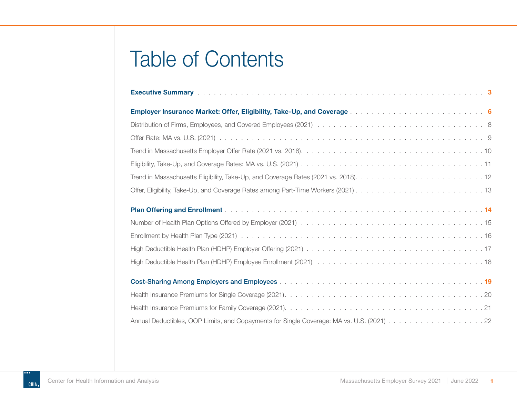# Table of Contents

| Annual Deductibles, OOP Limits, and Copayments for Single Coverage: MA vs. U.S. (2021) 22 |
|-------------------------------------------------------------------------------------------|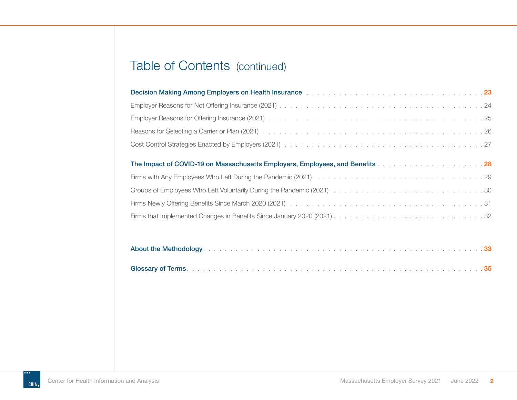# Table of Contents (continued)

| <b>Decision Making Among Employers on Health Insurance International Amortal Amortal Making Among Employers on Health Insurance International Amorta Amorta Amorta Amorta Amorta Amorta Amor</b> |  |
|--------------------------------------------------------------------------------------------------------------------------------------------------------------------------------------------------|--|
|                                                                                                                                                                                                  |  |
|                                                                                                                                                                                                  |  |
|                                                                                                                                                                                                  |  |
|                                                                                                                                                                                                  |  |
| The Impact of COVID-19 on Massachusetts Employers, Employees, and Benefits 28                                                                                                                    |  |
|                                                                                                                                                                                                  |  |
|                                                                                                                                                                                                  |  |
|                                                                                                                                                                                                  |  |
|                                                                                                                                                                                                  |  |

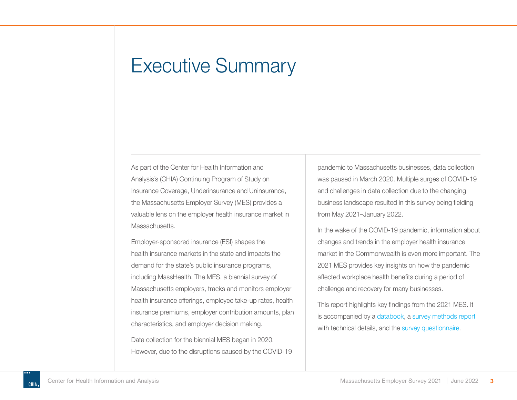# <span id="page-3-0"></span>Executive Summary

As part of the Center for Health Information and Analysis's (CHIA) Continuing Program of Study on Insurance Coverage, Underinsurance and Uninsurance, the Massachusetts Employer Survey (MES) provides a valuable lens on the employer health insurance market in Massachusetts.

Employer-sponsored insurance (ESI) shapes the health insurance markets in the state and impacts the demand for the state's public insurance programs, including MassHealth. The MES, a biennial survey of Massachusetts employers, tracks and monitors employer health insurance offerings, employee take-up rates, health insurance premiums, employer contribution amounts, plan characteristics, and employer decision making.

Data collection for the biennial MES began in 2020. However, due to the disruptions caused by the COVID-19 pandemic to Massachusetts businesses, data collection was paused in March 2020. Multiple surges of COVID-19 and challenges in data collection due to the changing business landscape resulted in this survey being fielding from May 2021–January 2022.

In the wake of the COVID-19 pandemic, information about changes and trends in the employer health insurance market in the Commonwealth is even more important. The 2021 MES provides key insights on how the pandemic affected workplace health benefits during a period of challenge and recovery for many businesses.

This report highlights key findings from the 2021 MES. It is accompanied by a [databook,](https://www.chiamass.gov/assets/docs/r/survey/Massachusetts-Employer-Survey-Databook-CHIA-2021.xlsx) a [survey methods report](https://www.chiamass.gov/assets/docs/r/survey/Massachusetts-Employer-Survey-Methods-CHIA-2021.pdf) with technical details, and the [survey questionnaire.](https://www.chiamass.gov/assets/docs/r/survey/Massachusetts-Employer-Survey-Questionnaire-CHIA-2021.pdf)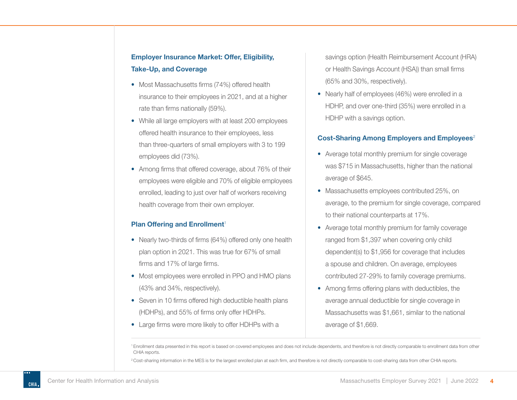### **Employer Insurance Market: Offer, Eligibility, Take-Up, and Coverage**

- Most Massachusetts firms (74%) offered health insurance to their employees in 2021, and at a higher rate than firms nationally (59%).
- While all large employers with at least 200 employees offered health insurance to their employees, less than three-quarters of small employers with 3 to 199 employees did (73%).
- Among firms that offered coverage, about 76% of their employees were eligible and 70% of eligible employees enrolled, leading to just over half of workers receiving health coverage from their own employer.

#### **Plan Offering and Enrollment<sup>1</sup>**

- Nearly two-thirds of firms (64%) offered only one health plan option in 2021. This was true for 67% of small firms and 17% of large firms.
- Most employees were enrolled in PPO and HMO plans (43% and 34%, respectively).
- Seven in 10 firms offered high deductible health plans (HDHPs), and 55% of firms only offer HDHPs.
- Large firms were more likely to offer HDHPs with a

savings option (Health Reimbursement Account (HRA) or Health Savings Account (HSA)) than small firms (65% and 30%, respectively).

• Nearly half of employees (46%) were enrolled in a HDHP, and over one-third (35%) were enrolled in a HDHP with a savings option.

#### **Cost-Sharing Among Employers and Employees**<sup>2</sup>

- Average total monthly premium for single coverage was \$715 in Massachusetts, higher than the national average of \$645.
- Massachusetts employees contributed 25%, on average, to the premium for single coverage, compared to their national counterparts at 17%.
- Average total monthly premium for family coverage ranged from \$1,397 when covering only child dependent(s) to \$1,956 for coverage that includes a spouse and children. On average, employees contributed 27-29% to family coverage premiums.
- Among firms offering plans with deductibles, the average annual deductible for single coverage in Massachusetts was \$1,661, similar to the national average of \$1,669.

<sup>1</sup>Enrollment data presented in this report is based on covered employees and does not include dependents, and therefore is not directly comparable to enrollment data from other CHIA reports.

<sup>2</sup> Cost-sharing information in the MES is for the largest enrolled plan at each firm, and therefore is not directly comparable to cost-sharing data from other CHIA reports.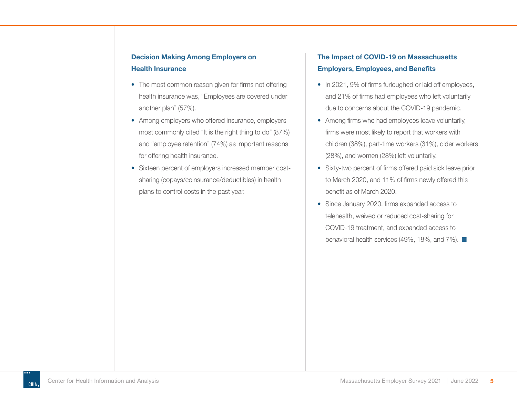- The most common reason given for firms not offering health insurance was, "Employees are covered under another plan" (57%).
- Among employers who offered insurance, employers most commonly cited "It is the right thing to do" (87%) and "employee retention" (74%) as important reasons for offering health insurance.
- Sixteen percent of employers increased member costsharing (copays/coinsurance/deductibles) in health plans to control costs in the past year.

### **The Impact of COVID-19 on Massachusetts Employers, Employees, and Benefits**

- In 2021, 9% of firms furloughed or laid off employees, and 21% of firms had employees who left voluntarily due to concerns about the COVID-19 pandemic.
- Among firms who had employees leave voluntarily, firms were most likely to report that workers with children (38%), part-time workers (31%), older workers (28%), and women (28%) left voluntarily.
- Sixty-two percent of firms offered paid sick leave prior to March 2020, and 11% of firms newly offered this benefit as of March 2020.
- Since January 2020, firms expanded access to telehealth, waived or reduced cost-sharing for COVID-19 treatment, and expanded access to behavioral health services (49%, 18%, and 7%).  $\blacksquare$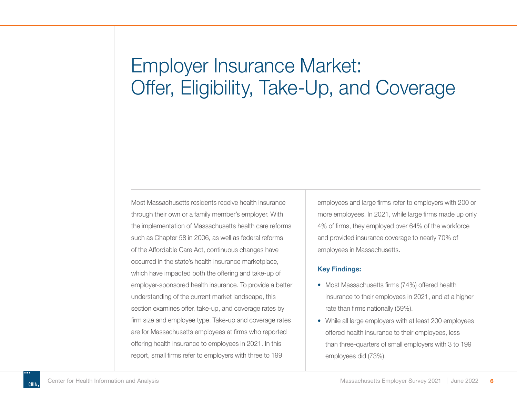# <span id="page-6-0"></span>Employer Insurance Market: Offer, Eligibility, Take-Up, and Coverage

Most Massachusetts residents receive health insurance through their own or a family member's employer. With the implementation of Massachusetts health care reforms such as Chapter 58 in 2006, as well as federal reforms of the Affordable Care Act, continuous changes have occurred in the state's health insurance marketplace, which have impacted both the offering and take-up of employer-sponsored health insurance. To provide a better understanding of the current market landscape, this section examines offer, take-up, and coverage rates by firm size and employee type. Take-up and coverage rates are for Massachusetts employees at firms who reported offering health insurance to employees in 2021. In this report, small firms refer to employers with three to 199

employees and large firms refer to employers with 200 or more employees. In 2021, while large firms made up only 4% of firms, they employed over 64% of the workforce and provided insurance coverage to nearly 70% of employees in Massachusetts.

#### **Key Findings:**

- Most Massachusetts firms (74%) offered health insurance to their employees in 2021, and at a higher rate than firms nationally (59%).
- While all large employers with at least 200 employees offered health insurance to their employees, less than three-quarters of small employers with 3 to 199 employees did (73%).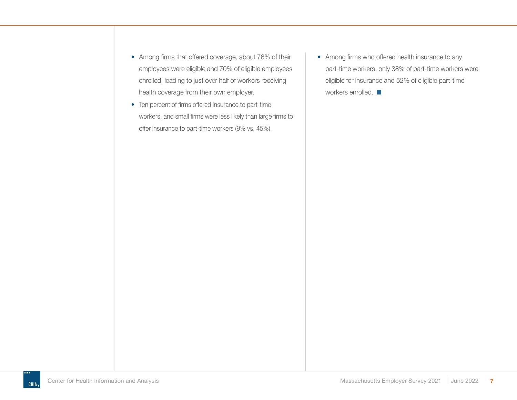- Among firms that offered coverage, about 76% of their employees were eligible and 70% of eligible employees enrolled, leading to just over half of workers receiving health coverage from their own employer.
- Ten percent of firms offered insurance to part-time workers, and small firms were less likely than large firms to offer insurance to part-time workers (9% vs. 45%).
- Among firms who offered health insurance to any part-time workers, only 38% of part-time workers were eligible for insurance and 52% of eligible part-time workers enrolled.  $\blacksquare$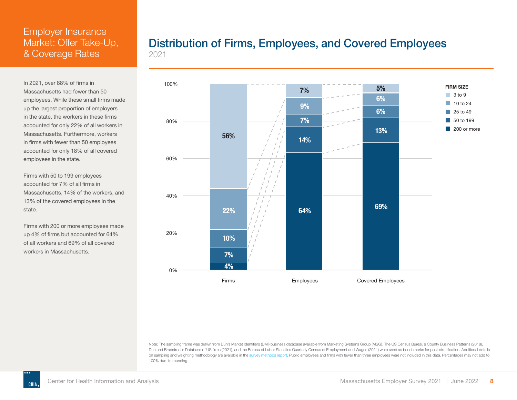<span id="page-8-0"></span>In 2021, over 88% of firms in Massachusetts had fewer than 50 employees. While these small firms made up the largest proportion of employers in the state, the workers in these firms accounted for only 22% of all workers in Massachusetts. Furthermore, workers in firms with fewer than 50 employees accounted for only 18% of all covered employees in the state.

Firms with 50 to 199 employees accounted for 7% of all firms in Massachusetts, 14% of the workers, and 13% of the covered employees in the state.

Firms with 200 or more employees made up 4% of firms but accounted for 64% of all workers and 69% of all covered workers in Massachusetts.

### Distribution of Firms, Employees, and Covered Employees 2021



Note: The sampling frame was drawn from Dun's Market Identifiers (DMI) business database available from Marketing Systems Group (MSG). The US Census Bureau's County Business Patterns (2018), Dun and Bradstreet's Database of US firms (2021), and the Bureau of Labor Statistics Quarterly Census of Employment and Wages (2021) were used as benchmarks for post-stratification. Additional details on sampling and weighting methodology are available in the [survey methods report.](https://www.chiamass.gov/assets/docs/r/survey/Massachusetts-Employer-Survey-Methods-CHIA-2021.pdf) Public employees and firms with fewer than three employees were not included in this data. Percentages may not add to 100% due to rounding.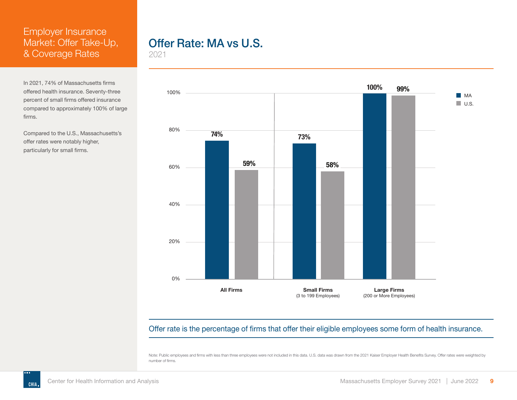<span id="page-9-0"></span>In 2021, 74% of Massachusetts firms offered health insurance. Seventy-three percent of small firms offered insurance compared to approximately 100% of large firms.

Compared to the U.S., Massachusetts's offer rates were notably higher, particularly for small firms.

# Offer Rate: MA vs U.S.

2021



Offer rate is the percentage of firms that offer their eligible employees some form of health insurance.

Note: Public employees and firms with less than three employees were not included in this data. U.S. data was drawn from the 2021 Kaiser Employer Health Benefits Survey. Offer rates were weighted by number of firms.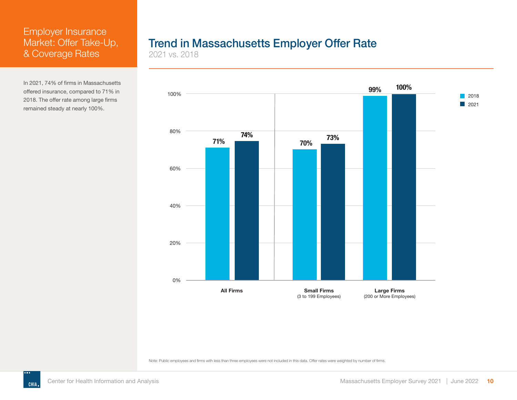<span id="page-10-0"></span>In 2021, 74% of firms in Massachusetts offered insurance, compared to 71% in 2018. The offer rate among large firms remained steady at nearly 100%.

# Trend in Massachusetts Employer Offer Rate

2021 vs. 2018



Note: Public employees and firms with less than three employees were not included in this data. Offer rates were weighted by number of firms.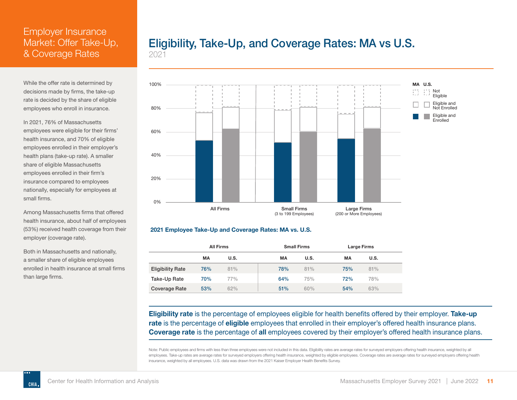<span id="page-11-0"></span>While the offer rate is determined by decisions made by firms, the take-up rate is decided by the share of eligible employees who enroll in insurance.

In 2021, 76% of Massachusetts employees were eligible for their firms' health insurance, and 70% of eligible employees enrolled in their employer's health plans (take-up rate). A smaller share of eligible Massachusetts employees enrolled in their firm's insurance compared to employees nationally, especially for employees at small firms.

Among Massachusetts firms that offered health insurance, about half of employees (53%) received health coverage from their employer (coverage rate).

Both in Massachusetts and nationally, a smaller share of eligible employees enrolled in health insurance at small firms than large firms.

# Eligibility, Take-Up, and Coverage Rates: MA vs U.S.

2021



#### **2021 Employee Take-Up and Coverage Rates: MA vs. U.S.**

|                         |     | <b>All Firms</b> |     | <b>Small Firms</b> | Large Firms |      |  |  |  |
|-------------------------|-----|------------------|-----|--------------------|-------------|------|--|--|--|
|                         | MA  | U.S.             | MA  | <b>U.S.</b>        | MA          | U.S. |  |  |  |
| <b>Eligibility Rate</b> | 76% | 81%              | 78% | 81%                | 75%         | 81%  |  |  |  |
| Take-Up Rate            | 70% | 77%              | 64% | 75%                | 72%         | 78%  |  |  |  |
| Coverage Rate           | 53% | 62%              | 51% | 60%                | 54%         | 63%  |  |  |  |

**Eligibility rate** is the percentage of employees eligible for health benefits offered by their employer. **Take-up rate** is the percentage of **eligible** employees that enrolled in their employer's offered health insurance plans. **Coverage rate** is the percentage of **all** employees covered by their employer's offered health insurance plans.

Note: Public employees and firms with less than three employees were not included in this data. Eligibility rates are average rates for surveyed employers offering health insurance, weighted by all employees. Take-up rates are average rates for surveyed employers offering health insurance, weighted by eligible employees. Coverage rates are average rates for surveyed employers offering health insurance, weighted by all employees. U.S. data was drawn from the 2021 Kaiser Employer Health Benefits Survey.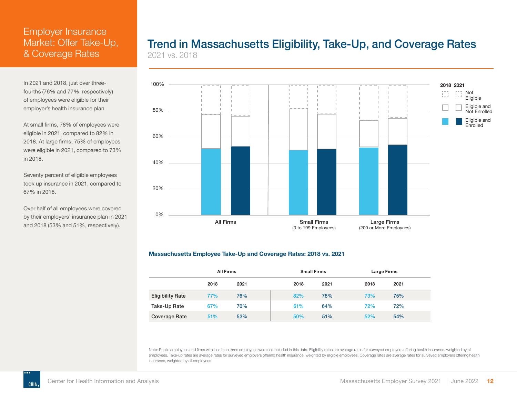<span id="page-12-0"></span>In 2021 and 2018, just over threefourths (76% and 77%, respectively) of employees were eligible for their employer's health insurance plan.

At small firms, 78% of employees were eligible in 2021, compared to 82% in 2018. At large firms, 75% of employees were eligible in 2021, compared to 73% in 2018.

Seventy percent of eligible employees took up insurance in 2021, compared to 67% in 2018.

Over half of all employees were covered by their employers' insurance plan in 2021 and 2018 (53% and 51%, respectively).

### Trend in Massachusetts Eligibility, Take-Up, and Coverage Rates 2021 vs. 2018



#### **Massachusetts Employee Take-Up and Coverage Rates: 2018 vs. 2021**

|                         | <b>All Firms</b> |      |      | <b>Small Firms</b> | Large Firms |      |  |
|-------------------------|------------------|------|------|--------------------|-------------|------|--|
|                         | 2018             | 2021 | 2018 | 2021               | 2018        | 2021 |  |
| <b>Eligibility Rate</b> | 77%              | 76%  | 82%  | 78%                | 73%         | 75%  |  |
| Take-Up Rate            | 67%              | 70%  | 61%  | 64%                | 72%         | 72%  |  |
| Coverage Rate           | 51%              | 53%  | 50%  | 51%                | 52%         | 54%  |  |

Note: Public employees and firms with less than three employees were not included in this data. Eligibility rates are average rates for surveyed employers offering health insurance, weighted by all employees. Take-up rates are average rates for surveyed employers offering health insurance, weighted by eligible employees. Coverage rates are average rates for surveyed employers offering health insurance, weighted by all employees.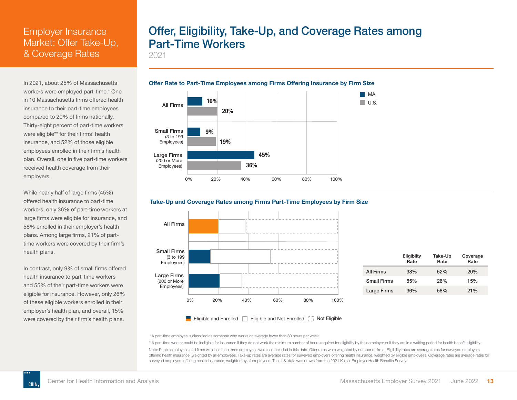<span id="page-13-0"></span>In 2021, about 25% of Massachusetts workers were employed part-time.\* One in 10 Massachusetts firms offered health insurance to their part-time employees compared to 20% of firms nationally. Thirty-eight percent of part-time workers were eligible\*\* for their firms' health insurance, and 52% of those eligible employees enrolled in their firm's health plan. Overall, one in five part-time workers received health coverage from their employers.

While nearly half of large firms (45%) offered health insurance to part-time workers, only 36% of part-time workers at large firms were eligible for insurance, and **20%** 58% enrolled in their employer's health plans. Among large firms, 21% of parttime workers were covered by their firm's **19%** health plans. plans. Among large firms, 21% of partloyer s i

In contrast, only 9% of small firms offered health insurance to part-time workers **36%** and 55% of their part-time workers were eligible for insurance. However, only 26% of these eligible workers enrolled in their employer's health plan, and overall, 15% were covered by their firm's health plans.  $\frac{1}{200}$  or More

**CHIA** 

Large Firms (200 or More

# Offer, Eligibility, Take-Up, and Coverage Rates among Part-Time Workers

2021





#### Take-Up and Coverage Rates among Firms Part-Time Employees by Firm Size





\*A part-time employee is classified as someone who works on average fewer than 30 hours per week.

\*\*A part-time worker could be ineligible for insurance if they do not work the minimum number of hours required for eligibility by their employer or if they are in a waiting period for health benefit eligibility. Note: Public employees and firms with less than three employees were not included in this data. Offer rates were weighted by number of firms. Eligibility rates are average rates for surveyed employers offering health insurance, weighted by all employees. Take-up rates are average rates for surveyed employers offering health insurance, weighted by eligible employees. Coverage rates are average rates for surveyed employers offering health insurance, weighted by all employees. The U.S. data was drawn from the 2021 Kaiser Employer Health Benefits Survey.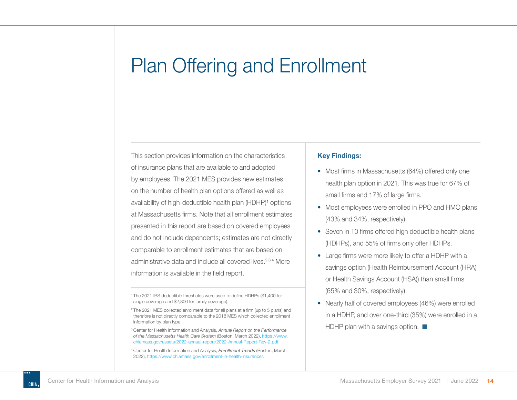<span id="page-14-0"></span>This section provides information on the characteristics of insurance plans that are available to and adopted by employees. The 2021 MES provides new estimates on the number of health plan options offered as well as availability of high-deductible health plan (HDHP)<sup>1</sup> options at Massachusetts firms. Note that all enrollment estimates presented in this report are based on covered employees and do not include dependents; estimates are not directly comparable to enrollment estimates that are based on administrative data and include all covered lives.2,3,4 More information is available in the field report.

<sup>1</sup>The 2021 IRS deductible thresholds were used to define HDHPs (\$1,400 for single coverage and \$2,800 for family coverage).

#### **Key Findings:**

- Most firms in Massachusetts (64%) offered only one health plan option in 2021. This was true for 67% of small firms and 17% of large firms.
- Most employees were enrolled in PPO and HMO plans (43% and 34%, respectively).
- Seven in 10 firms offered high deductible health plans (HDHPs), and 55% of firms only offer HDHPs.
- Large firms were more likely to offer a HDHP with a savings option (Health Reimbursement Account (HRA) or Health Savings Account (HSA)) than small firms (65% and 30%, respectively).
- Nearly half of covered employees (46%) were enrolled in a HDHP, and over one-third (35%) were enrolled in a HDHP plan with a savings option.  $\Box$

<sup>2</sup>The 2021 MES collected enrollment data for all plans at a firm (up to 5 plans) and therefore is not directly comparable to the 2018 MES which collected enrollment information by plan type.

<sup>3</sup>Center for Health Information and Analysis, *Annual Report on the Performance of the Massachusetts Health Care System* (Boston, March 2022), [https://www.](https://www.chiamass.gov/assets/2022-annual-report/2022-Annual-Report-Rev-2.pdf) [chiamass.gov/assets/2022-annual-report/2022-Annual-Report-Rev-2.pdf](https://www.chiamass.gov/assets/2022-annual-report/2022-Annual-Report-Rev-2.pdf).

<sup>4</sup>Center for Health Information and Analysis, *Enrollment Trends* (Boston, March 2022), <https://www.chiamass.gov/enrollment-in-health-insurance/>.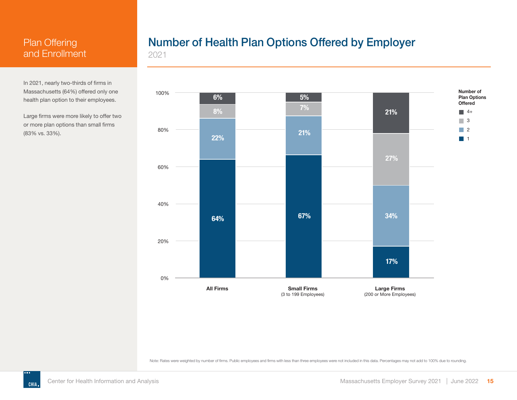<span id="page-15-0"></span>In 2021, nearly two-thirds of firms in Massachusetts (64%) offered only one health plan option to their employees.

Large firms were more likely to offer two or more plan options than small firms (83% vs. 33%).

# Number of Health Plan Options Offered by Employer

2021



Note: Rates were weighted by number of firms. Public employees and firms with less than three employees were not included in this data. Percentages may not add to 100% due to rounding.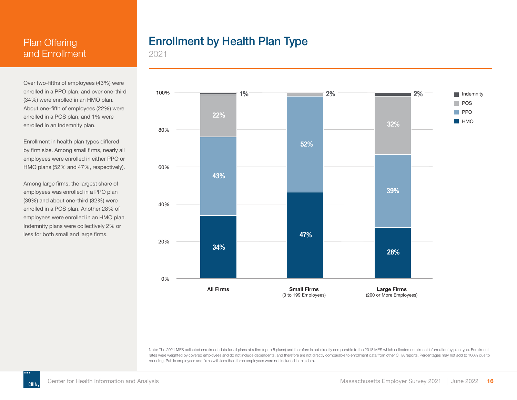<span id="page-16-0"></span>Over two-fifths of employees (43%) were enrolled in a PPO plan, and over one-third (34%) were enrolled in an HMO plan. About one-fifth of employees (22%) were enrolled in a POS plan, and 1% were enrolled in an Indemnity plan.

Enrollment in health plan types differed by firm size. Among small firms, nearly all employees were enrolled in either PPO or HMO plans (52% and 47%, respectively).

Among large firms, the largest share of employees was enrolled in a PPO plan (39%) and about one-third (32%) were enrolled in a POS plan. Another 28% of employees were enrolled in an HMO plan. Indemnity plans were collectively 2% or less for both small and large firms.

# Enrollment by Health Plan Type

2021



Note: The 2021 MES collected enrollment data for all plans at a firm (up to 5 plans) and therefore is not directly comparable to the 2018 MES which collected enrollment information by plan type. Enrollment rates were weighted by covered employees and do not include dependents, and therefore are not directly comparable to enrollment data from other CHIA reports. Percentages may not add to 100% due to rounding. Public employees and firms with less than three employees were not included in this data.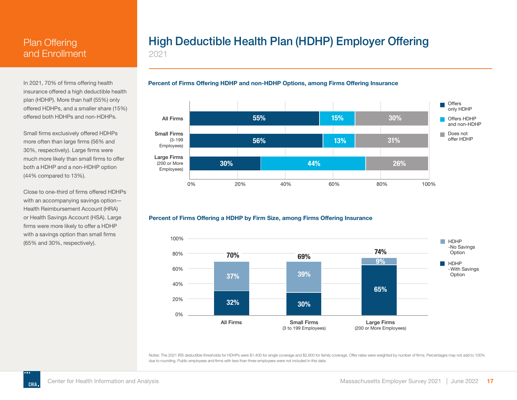<span id="page-17-0"></span>In 2021, 70% of firms offering health insurance offered a high deductible health plan (HDHP). More than half (55%) only offered HDHPs, and a smaller share (15%) offered both HDHPs and non-HDHPs.

Small firms exclusively offered HDHPs more often than large firms (56% and 30%, respectively). Large firms were much more likely than small firms to offer both a HDHP and a non-HDHP option (44% compared to 13%).

Close to one-third of firms offered HDHPs with an accompanying savings option— Health Reimbursement Account (HRA) or Health Savings Account (HSA). Large firms were more likely to offer a HDHP with a savings option than small firms (65% and 30%, respectively).

# High Deductible Health Plan (HDHP) Employer Offering

2021

#### **Percent of Firms Offering HDHP and non-HDHP Options, among Firms Offering Insurance**



#### **Percent of Firms Offering a HDHP by Firm Size, among Firms Offering Insurance**



Notes: The 2021 IRS deductible thresholds for HDHPs were \$1,400 for single coverage and \$2,800 for family coverage. Offer rates were weighted by number of firms. Percentages may not add to 100% due to rounding. Public employees and firms with less than three employees were not included in this data.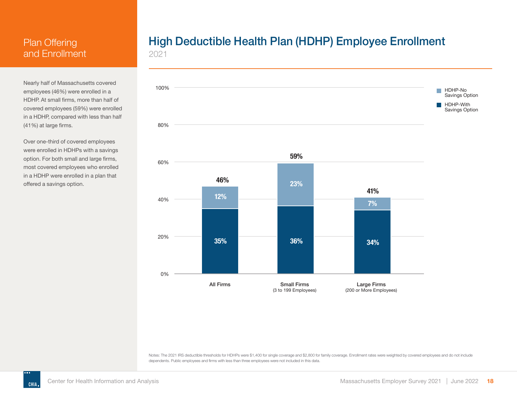<span id="page-18-0"></span>Nearly half of Massachusetts covered employees (46%) were enrolled in a HDHP. At small firms, more than half of covered employees (59%) were enrolled in a HDHP, compared with less than half (41%) at large firms.

Over one-third of covered employees were enrolled in HDHPs with a savings option. For both small and large firms, most covered employees who enrolled in a HDHP were enrolled in a plan that offered a savings option.

# High Deductible Health Plan (HDHP) Employee Enrollment

2021



Notes: The 2021 IRS deductible thresholds for HDHPs were \$1,400 for single coverage and \$2,800 for family coverage. Enrollment rates were weighted by covered employees and do not include dependents. Public employees and firms with less than three employees were not included in this data.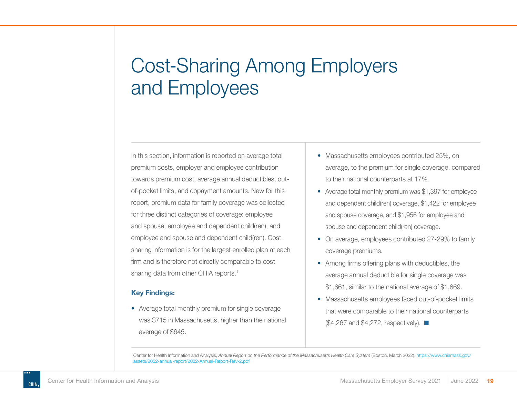<span id="page-19-0"></span>In this section, information is reported on average total premium costs, employer and employee contribution towards premium cost, average annual deductibles, outof-pocket limits, and copayment amounts. New for this report, premium data for family coverage was collected for three distinct categories of coverage: employee and spouse, employee and dependent child(ren), and employee and spouse and dependent child(ren). Costsharing information is for the largest enrolled plan at each firm and is therefore not directly comparable to costsharing data from other CHIA reports.<sup>1</sup>

#### **Key Findings:**

• Average total monthly premium for single coverage was \$715 in Massachusetts, higher than the national average of \$645.

- Massachusetts employees contributed 25%, on average, to the premium for single coverage, compared to their national counterparts at 17%.
- Average total monthly premium was \$1,397 for employee and dependent child(ren) coverage, \$1,422 for employee and spouse coverage, and \$1,956 for employee and spouse and dependent child(ren) coverage.
- On average, employees contributed 27-29% to family coverage premiums.
- Among firms offering plans with deductibles, the average annual deductible for single coverage was \$1,661, similar to the national average of \$1,669.
- Massachusetts employees faced out-of-pocket limits that were comparable to their national counterparts  $(\$4,267$  and  $\$4,272$ , respectively).  $\blacksquare$

<sup>1</sup>Center for Health Information and Analysis, *Annual Report on the Performance of the Massachusetts Health Care System* (Boston, March 2022), [https://www.chiamass.gov/](https://www.chiamass.gov/assets/2022-annual-report/2022-Annual-Report-Rev-2.pdf) [assets/2022-annual-report/2022-Annual-Report-Rev-2.pdf](https://www.chiamass.gov/assets/2022-annual-report/2022-Annual-Report-Rev-2.pdf)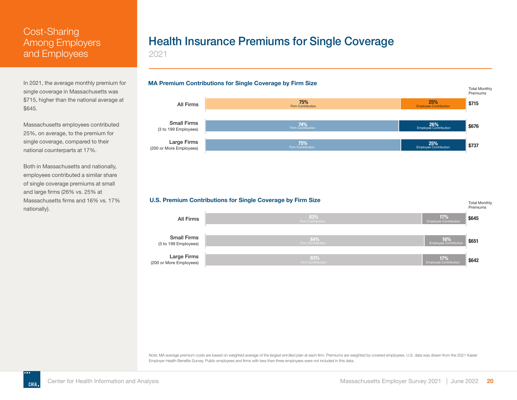<span id="page-20-0"></span>In 2021, the average monthly premium for single coverage in Massachusetts was \$715, higher than the national average at \$645.

Massachusetts employees contributed 25%, on average, to the premium for single coverage, compared to their national counterparts at 17%.

Both in Massachusetts and nationally, employees contributed a similar share of single coverage premiums at small and large firms (26% vs. 25% at Massachusetts firms and 16% vs. 17% nationally).

# Health Insurance Premiums for Single Coverage

2021



**U.S. Premium Contributions for Single Coverage by Firm Size**



Note: MA average premium costs are based on weighted average of the largest enrolled plan at each firm. Premiums are weighted by covered employees. U.S. data was drawn from the 2021 Kaiser Employer Health Benefits Survey. Public employees and firms with less than three employees were not included in this data.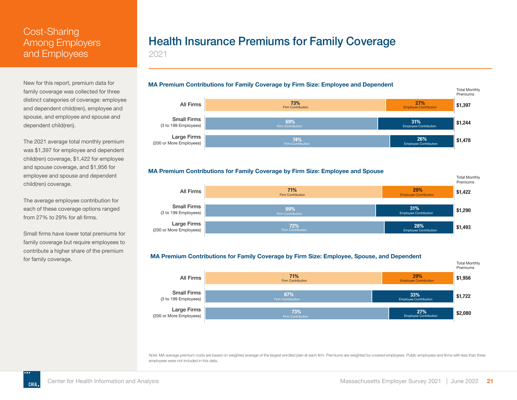<span id="page-21-0"></span>New for this report, premium data for family coverage was collected for three distinct categories of coverage: employee and dependent child(ren), employee and spouse, and employee and spouse and dependent child(ren).

The 2021 average total monthly premium was \$1,397 for employee and dependent child(ren) coverage, \$1,422 for employee and spouse coverage, and \$1,956 for employee and spouse and dependent child(ren) coverage.

The average employee contribution for each of these coverage options ranged from 27% to 29% for all firms.

Small firms have lower total premiums for family coverage but require employees to contribute a higher share of the premium for family coverage.

# Health Insurance Premiums for Family Coverage

2021









#### **MA Premium Contributions for Family Coverage by Firm Size: Employee, Spouse, and Dependent**



Note: MA average premium costs are based on weighted average of the largest enrolled plan at each firm. Premiums are weighted by covered employees. Public employees and firms with less than three employees were not included in this data.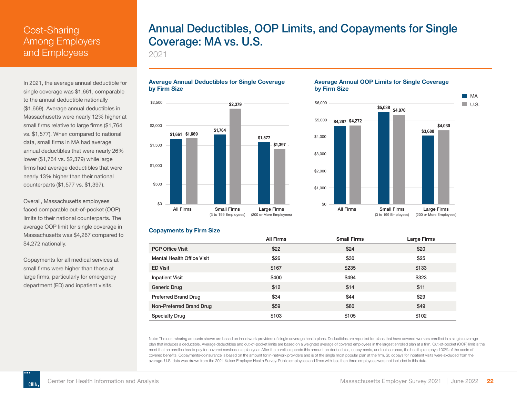<span id="page-22-0"></span>In 2021, the average annual deductible for single coverage was \$1,661, comparable to the annual deductible nationally (\$1,669). Average annual deductibles in Massachusetts were nearly 12% higher at small firms relative to large firms (\$1,764 vs. \$1,577). When compared to national data, small firms in MA had average annual deductibles that were nearly 26% lower (\$1,764 vs. \$2,379) while large firms had average deductibles that were nearly 13% higher than their national counterparts (\$1,577 vs. \$1,397).

Overall, Massachusetts employees faced comparable out-of-pocket (OOP) limits to their national counterparts. The average OOP limit for single coverage in Massachusetts was \$4,267 compared to \$4,272 nationally.

Copayments for all medical services at small firms were higher than those at large firms, particularly for emergency department (ED) and inpatient visits.

**CHIA**

# Annual Deductibles, OOP Limits, and Copayments for Single Coverage: MA vs. U.S.

2021

#### **Average Annual Deductibles for Single Coverage by Firm Size**

#### \$0 \$500 \$1,000 \$1,500 \$2,000 \$2,500 All Firms Large Firms Small Firms (200 or More Employees) (3 to 199 Employees) **\$1,661 \$1,669 \$1,764 \$2,379 \$1,577 \$1,397**

#### **Average Annual OOP Limits for Single Coverage by Firm Size**



#### **Copayments by Firm Size**

|                                   | <b>All Firms</b> | <b>Small Firms</b> | Large Firms |
|-----------------------------------|------------------|--------------------|-------------|
| <b>PCP Office Visit</b>           | \$22             | \$24               | \$20        |
| <b>Mental Health Office Visit</b> | \$26             | \$30               | \$25        |
| <b>ED Visit</b>                   | \$167            | \$235              | \$133       |
| <b>Inpatient Visit</b>            | \$400            | \$494              | \$323       |
| Generic Drug                      | \$12             | \$14               | \$11        |
| <b>Preferred Brand Drug</b>       | \$34             | \$44               | \$29        |
| Non-Preferred Brand Drug          | \$59             | \$80               | \$49        |
| <b>Specialty Drug</b>             | \$103            | \$105              | \$102       |

Note: The cost-sharing amounts shown are based on in-network providers of single coverage health plans. Deductibles are reported for plans that have covered workers enrolled in a single coverage plan that includes a deductible. Average deductibles and out-of-pocket limits are based on a weighted average of covered employees in the largest enrolled plan at a firm. Out-of-pocket (OOP) limit is the most that an enrollee has to pay for covered services in a plan year. After the enrollee spends this amount on deductibles, copayments, and coinsurance, the health plan pays 100% of the costs of covered benefits. Copayments/coinsurance is based on the amount for in-network providers and is of the single most popular plan at the firm. \$0 copays for inpatient visits were excluded from the average. U.S. data was drawn from the 2021 Kaiser Employer Health Survey. Public employees and firms with less than three employees were not included in this data.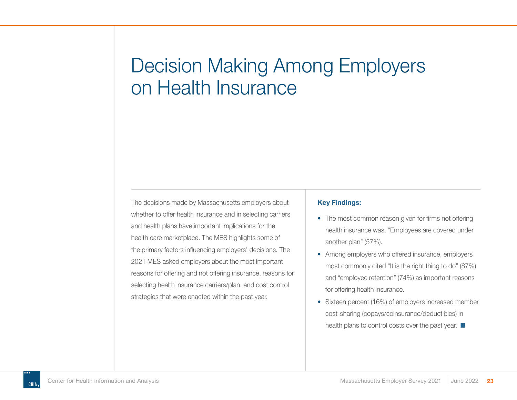<span id="page-23-0"></span>The decisions made by Massachusetts employers about whether to offer health insurance and in selecting carriers and health plans have important implications for the health care marketplace. The MES highlights some of the primary factors influencing employers' decisions. The 2021 MES asked employers about the most important reasons for offering and not offering insurance, reasons for selecting health insurance carriers/plan, and cost control strategies that were enacted within the past year.

#### **Key Findings:**

- The most common reason given for firms not offering health insurance was, "Employees are covered under another plan" (57%).
- Among employers who offered insurance, employers most commonly cited "It is the right thing to do" (87%) and "employee retention" (74%) as important reasons for offering health insurance.
- Sixteen percent (16%) of employers increased member cost-sharing (copays/coinsurance/deductibles) in health plans to control costs over the past year.  $\blacksquare$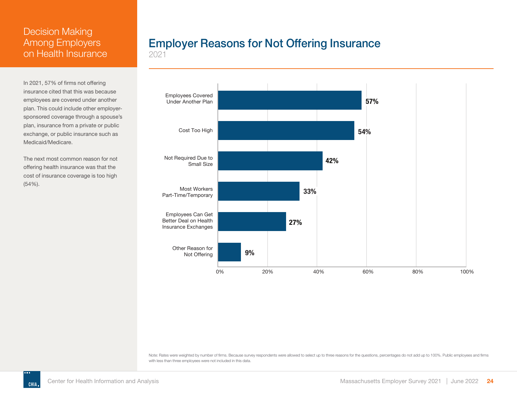<span id="page-24-0"></span>In 2021, 57% of firms not offering insurance cited that this was because employees are covered under another plan. This could include other employersponsored coverage through a spouse's plan, insurance from a private or public exchange, or public insurance such as Medicaid/Medicare.

The next most common reason for not offering health insurance was that the cost of insurance coverage is too high (54%).

# Employer Reasons for Not Offering Insurance

2021



Note: Rates were weighted by number of firms. Because survey respondents were allowed to select up to three reasons for the questions, percentages do not add up to 100%. Public employees and firms with less than three employees were not included in this data.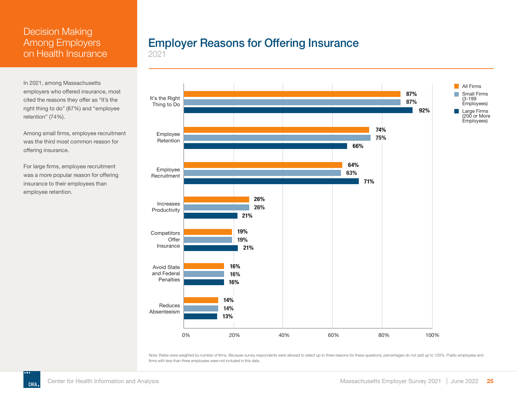<span id="page-25-0"></span>In 2021, among Massachusetts employers who offered insurance, most cited the reasons they offer as "It's the right thing to do" (87%) and "employee retention" (74%).

Among small firms, employee recruitment was the third most common reason for offering insurance.

For large firms, employee recruitment was a more popular reason for offering insurance to their employees than employee retention.

# Employer Reasons for Offering Insurance

2021



Note: Rates were weighted by number of firms. Because survey respondents were allowed to select up to three reasons for these questions, percentages do not add up to 100%. Public employees and firms with less than three employees were not included in this data.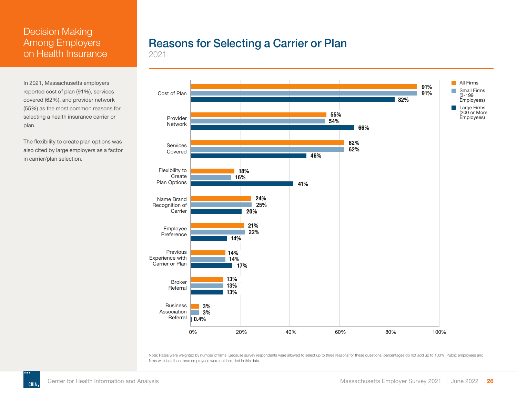<span id="page-26-0"></span>In 2021, Massachusetts employers reported cost of plan (91%), services covered (62%), and provider network (55%) as the most common reasons for selecting a health insurance carrier or plan.

The flexibility to create plan options was also cited by large employers as a factor in carrier/plan selection.

# Reasons for Selecting a Carrier or Plan

2021



Note: Rates were weighted by number of firms. Because survey respondents were allowed to select up to three reasons for these questions, percentages do not add up to 100%. Public employees and firms with less than three employees were not included in this data.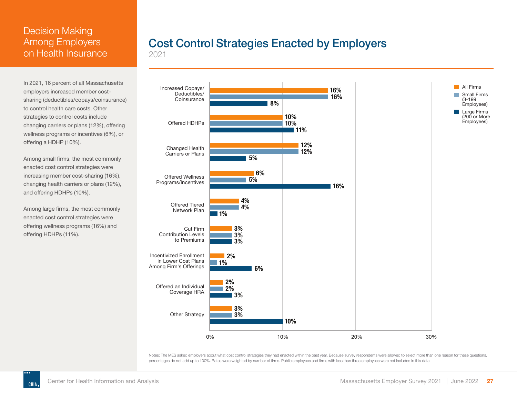<span id="page-27-0"></span>In 2021, 16 percent of all Massachusetts employers increased member costsharing (deductibles/copays/coinsurance) to control health care costs. Other strategies to control costs include changing carriers or plans (12%), offering wellness programs or incentives (6%), or offering a HDHP (10%).

Among small firms, the most commonly enacted cost control strategies were increasing member cost-sharing (16%), changing health carriers or plans (12%), and offering HDHPs (10%).

Among large firms, the most commonly enacted cost control strategies were offering wellness programs (16%) and offering HDHPs (11%).

# Cost Control Strategies Enacted by Employers

2021



Notes: The MES asked employers about what cost control strategies they had enacted within the past year. Because survey respondents were allowed to select more than one reason for these questions, percentages do not add up to 100%. Rates were weighted by number of firms. Public employees and firms with less than three employees were not included in this data.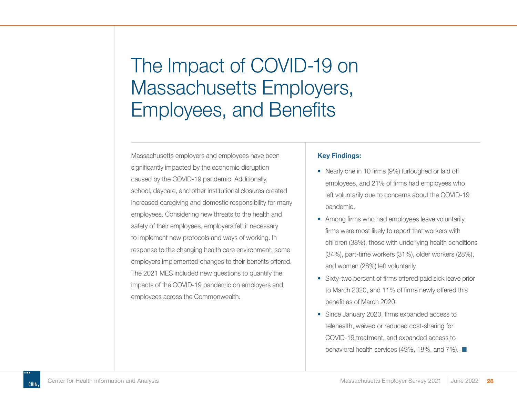<span id="page-28-0"></span>Massachusetts employers and employees have been significantly impacted by the economic disruption caused by the COVID-19 pandemic. Additionally, school, daycare, and other institutional closures created increased caregiving and domestic responsibility for many employees. Considering new threats to the health and safety of their employees, employers felt it necessary to implement new protocols and ways of working. In response to the changing health care environment, some employers implemented changes to their benefits offered. The 2021 MES included new questions to quantify the impacts of the COVID-19 pandemic on employers and employees across the Commonwealth.

#### **Key Findings:**

- Nearly one in 10 firms (9%) furloughed or laid off employees, and 21% of firms had employees who left voluntarily due to concerns about the COVID-19 pandemic.
- Among firms who had employees leave voluntarily, firms were most likely to report that workers with children (38%), those with underlying health conditions (34%), part-time workers (31%), older workers (28%), and women (28%) left voluntarily.
- Sixty-two percent of firms offered paid sick leave prior to March 2020, and 11% of firms newly offered this benefit as of March 2020.
- Since January 2020, firms expanded access to telehealth, waived or reduced cost-sharing for COVID-19 treatment, and expanded access to behavioral health services (49%, 18%, and 7%).  $\blacksquare$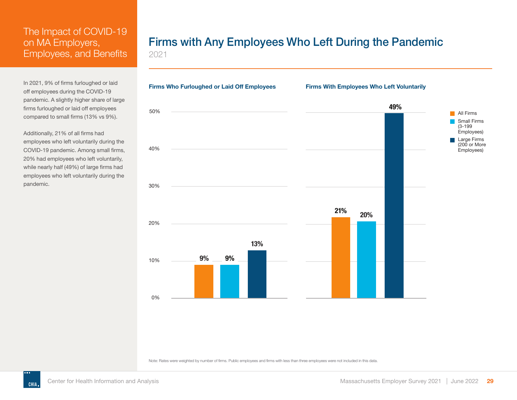<span id="page-29-0"></span>In 2021, 9% of firms furloughed or laid off employees during the COVID-19 pandemic. A slightly higher share of large firms furloughed or laid off employees compared to small firms (13% vs 9%).

Additionally, 21% of all firms had employees who left voluntarily during the COVID-19 pandemic. Among small firms, 20% had employees who left voluntarily, while nearly half (49%) of large firms had employees who left voluntarily during the pandemic.

# Firms with Any Employees Who Left During the Pandemic

2021

0% 10% 20% 30% 40% 50% **9% 9% 13% 21% 49% 20% All Firms** Small Firms (3-199 Employees) Large Firms (200 or More Employees) **Firms Who Furloughed or Laid Off Employees Firms With Employees Who Left Voluntarily**

Note: Rates were weighted by number of firms. Public employees and firms with less than three employees were not included in this data.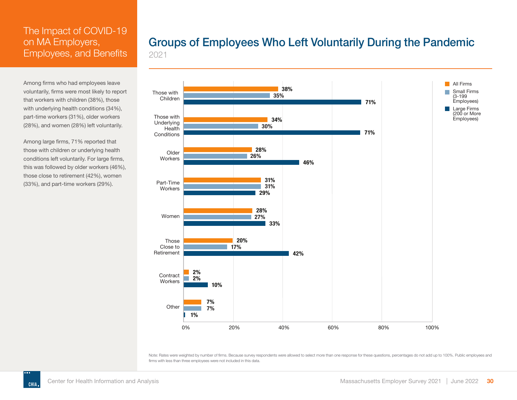<span id="page-30-0"></span>Among firms who had employees leave voluntarily, firms were most likely to report that workers with children (38%), those with underlying health conditions (34%), part-time workers (31%), older workers (28%), and women (28%) left voluntarily.

Among large firms, 71% reported that those with children or underlying health conditions left voluntarily. For large firms, this was followed by older workers (46%), those close to retirement (42%), women (33%), and part-time workers (29%).

### Groups of Employees Who Left Voluntarily During the Pandemic 2021



Note: Rates were weighted by number of firms. Because survey respondents were allowed to select more than one response for these questions, percentages do not add up to 100%. Public employees and firms with less than three employees were not included in this data.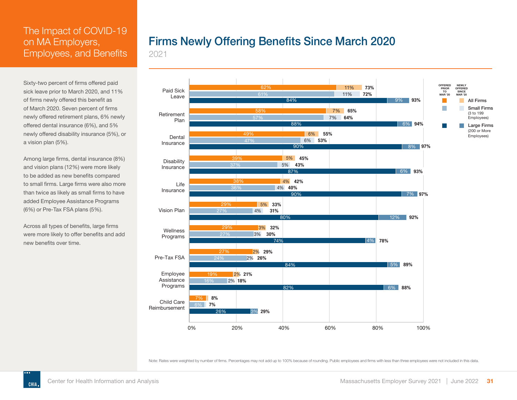<span id="page-31-0"></span>Sixty-two percent of firms offered paid sick leave prior to March 2020, and 11% of firms newly offered this benefit as of March 2020. Seven percent of firms newly offered retirement plans, 6% newly offered dental insurance (6%), and 5% newly offered disability insurance (5%), or a vision plan (5%).

Among large firms, dental insurance (8%) and vision plans (12%) were more likely to be added as new benefits compared to small firms. Large firms were also more than twice as likely as small firms to have added Employee Assistance Programs (6%) or Pre-Tax FSA plans (5%).

Across all types of benefits, large firms were more likely to offer benefits and add new benefits over time.

# Firms Newly Offering Benefits Since March 2020

2021



Note: Rates were weighted by number of firms. Percentages may not add up to 100% because of rounding. Public employees and firms with less than three employees were not included in this data.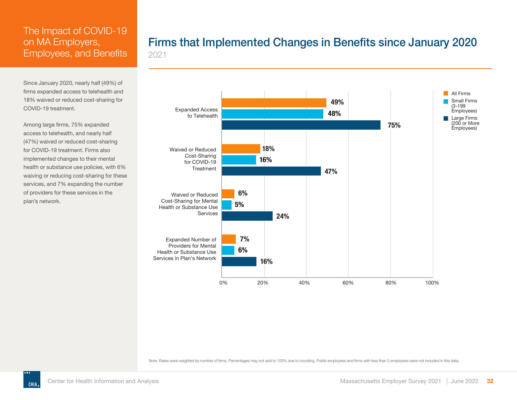<span id="page-32-0"></span>Since January 2020, nearly half (49%) of firms expanded access to telehealth and 18% waived or reduced cost-sharing for COVID-19 treatment.

Among large firms, 75% expanded access to telehealth, and nearly half (47%) waived or reduced cost-sharing for COVID-19 treatment. Firms also implemented changes to their mental health or substance use policies, with 6% waiving or reducing cost-sharing for these services, and 7% expanding the number of providers for these services in the plan's network.

### Firms that Implemented Changes in Benefits since January 2020 2021



Note: Rates were weighted by number of firms. Percentages may not add to 100% due to rounding. Public employees and firms with less than 3 employees were not included in this data.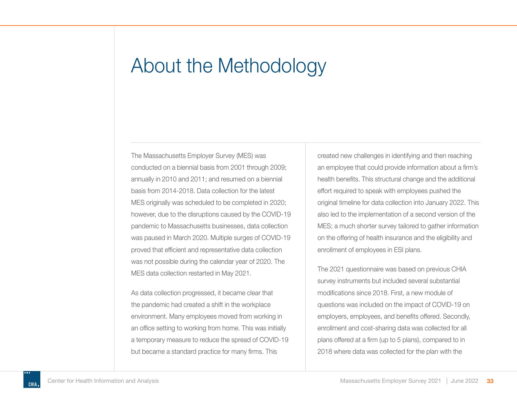# <span id="page-33-0"></span>About the Methodology

The Massachusetts Employer Survey (MES) was conducted on a biennial basis from 2001 through 2009; annually in 2010 and 2011; and resumed on a biennial basis from 2014-2018. Data collection for the latest MES originally was scheduled to be completed in 2020; however, due to the disruptions caused by the COVID-19 pandemic to Massachusetts businesses, data collection was paused in March 2020. Multiple surges of COVID-19 proved that efficient and representative data collection was not possible during the calendar year of 2020. The MES data collection restarted in May 2021.

As data collection progressed, it became clear that the pandemic had created a shift in the workplace environment. Many employees moved from working in an office setting to working from home. This was initially a temporary measure to reduce the spread of COVID-19 but became a standard practice for many firms. This

created new challenges in identifying and then reaching an employee that could provide information about a firm's health benefits. This structural change and the additional effort required to speak with employees pushed the original timeline for data collection into January 2022. This also led to the implementation of a second version of the MES; a much shorter survey tailored to gather information on the offering of health insurance and the eligibility and enrollment of employees in ESI plans.

The 2021 questionnaire was based on previous CHIA survey instruments but included several substantial modifications since 2018. First, a new module of questions was included on the impact of COVID-19 on employers, employees, and benefits offered. Secondly, enrollment and cost-sharing data was collected for all plans offered at a firm (up to 5 plans), compared to in 2018 where data was collected for the plan with the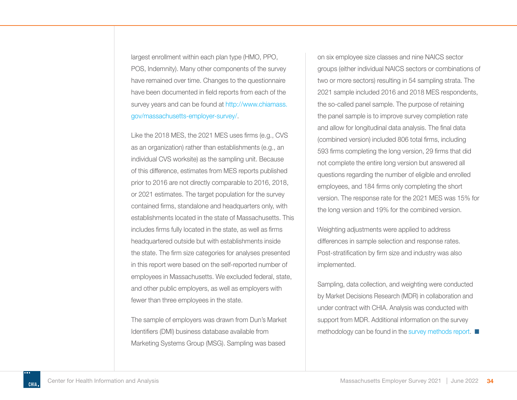largest enrollment within each plan type (HMO, PPO, POS, Indemnity). Many other components of the survey have remained over time. Changes to the questionnaire have been documented in field reports from each of the survey years and can be found at [http://www.chiamass.](https://www.chiamass.gov/massachusetts-employer-survey/) [gov/massachusetts-employer-survey/](https://www.chiamass.gov/massachusetts-employer-survey/).

Like the 2018 MES, the 2021 MES uses firms (e.g., CVS as an organization) rather than establishments (e.g., an individual CVS worksite) as the sampling unit. Because of this difference, estimates from MES reports published prior to 2016 are not directly comparable to 2016, 2018, or 2021 estimates. The target population for the survey contained firms, standalone and headquarters only, with establishments located in the state of Massachusetts. This includes firms fully located in the state, as well as firms headquartered outside but with establishments inside the state. The firm size categories for analyses presented in this report were based on the self-reported number of employees in Massachusetts. We excluded federal, state, and other public employers, as well as employers with fewer than three employees in the state.

The sample of employers was drawn from Dun's Market Identifiers (DMI) business database available from Marketing Systems Group (MSG). Sampling was based

on six employee size classes and nine NAICS sector groups (either individual NAICS sectors or combinations of two or more sectors) resulting in 54 sampling strata. The 2021 sample included 2016 and 2018 MES respondents, the so-called panel sample. The purpose of retaining the panel sample is to improve survey completion rate and allow for longitudinal data analysis. The final data (combined version) included 806 total firms, including 593 firms completing the long version, 29 firms that did not complete the entire long version but answered all questions regarding the number of eligible and enrolled employees, and 184 firms only completing the short version. The response rate for the 2021 MES was 15% for the long version and 19% for the combined version.

Weighting adjustments were applied to address differences in sample selection and response rates. Post-stratification by firm size and industry was also implemented.

Sampling, data collection, and weighting were conducted by Market Decisions Research (MDR) in collaboration and under contract with CHIA. Analysis was conducted with support from MDR. Additional information on the survey methodology can be found in the [survey methods repor](https://www.chiamass.gov/assets/docs/r/survey/Massachusetts-Employer-Survey-Methods-CHIA-2021.pdf)t.  $\blacksquare$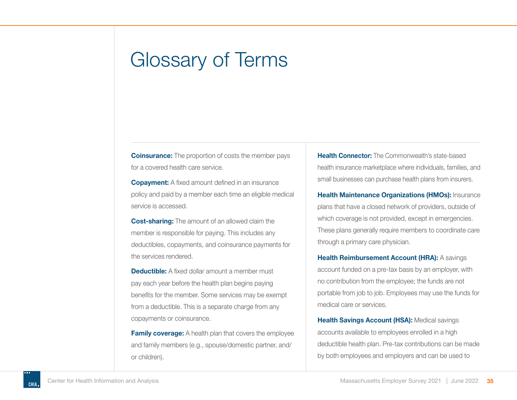# <span id="page-35-0"></span>Glossary of Terms

**Coinsurance:** The proportion of costs the member pays for a covered health care service.

**Copayment:** A fixed amount defined in an insurance policy and paid by a member each time an eligible medical service is accessed.

**Cost-sharing:** The amount of an allowed claim the member is responsible for paying. This includes any deductibles, copayments, and coinsurance payments for the services rendered.

**Deductible:** A fixed dollar amount a member must pay each year before the health plan begins paying benefits for the member. Some services may be exempt from a deductible. This is a separate charge from any copayments or coinsurance.

**Family coverage:** A health plan that covers the employee and family members (e.g., spouse/domestic partner, and/ or children).

**Health Connector:** The Commonwealth's state-based health insurance marketplace where individuals, families, and small businesses can purchase health plans from insurers.

**Health Maintenance Organizations (HMOs):** Insurance plans that have a closed network of providers, outside of which coverage is not provided, except in emergencies. These plans generally require members to coordinate care through a primary care physician.

**Health Reimbursement Account (HRA):** A savings account funded on a pre-tax basis by an employer, with no contribution from the employee; the funds are not portable from job to job. Employees may use the funds for medical care or services.

**Health Savings Account (HSA):** Medical savings accounts available to employees enrolled in a high deductible health plan. Pre-tax contributions can be made by both employees and employers and can be used to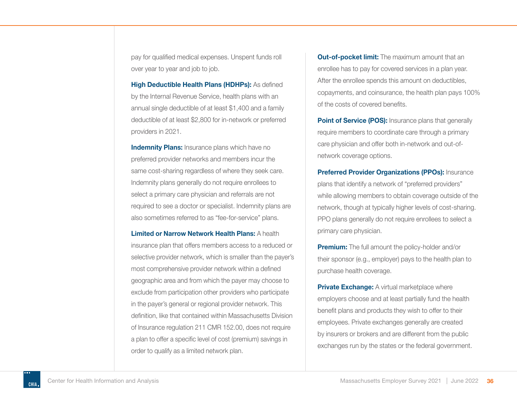pay for qualified medical expenses. Unspent funds roll over year to year and job to job.

**High Deductible Health Plans (HDHPs):** As defined by the Internal Revenue Service, health plans with an annual single deductible of at least \$1,400 and a family deductible of at least \$2,800 for in-network or preferred providers in 2021.

**Indemnity Plans:** Insurance plans which have no preferred provider networks and members incur the same cost-sharing regardless of where they seek care. Indemnity plans generally do not require enrollees to select a primary care physician and referrals are not required to see a doctor or specialist. Indemnity plans are also sometimes referred to as "fee-for-service" plans.

**Limited or Narrow Network Health Plans:** A health insurance plan that offers members access to a reduced or selective provider network, which is smaller than the payer's most comprehensive provider network within a defined geographic area and from which the payer may choose to exclude from participation other providers who participate in the payer's general or regional provider network. This definition, like that contained within Massachusetts Division of Insurance regulation 211 CMR 152.00, does not require a plan to offer a specific level of cost (premium) savings in order to qualify as a limited network plan.

**Out-of-pocket limit:** The maximum amount that an enrollee has to pay for covered services in a plan year. After the enrollee spends this amount on deductibles, copayments, and coinsurance, the health plan pays 100% of the costs of covered benefits.

**Point of Service (POS):** Insurance plans that generally require members to coordinate care through a primary care physician and offer both in-network and out-ofnetwork coverage options.

**Preferred Provider Organizations (PPOs):** Insurance plans that identify a network of "preferred providers" while allowing members to obtain coverage outside of the network, though at typically higher levels of cost-sharing. PPO plans generally do not require enrollees to select a primary care physician.

**Premium:** The full amount the policy-holder and/or their sponsor (e.g., employer) pays to the health plan to purchase health coverage.

**Private Exchange:** A virtual marketplace where employers choose and at least partially fund the health benefit plans and products they wish to offer to their employees. Private exchanges generally are created by insurers or brokers and are different from the public exchanges run by the states or the federal government.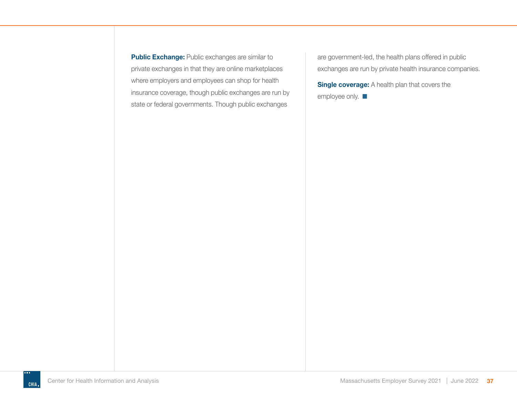**Public Exchange:** Public exchanges are similar to private exchanges in that they are online marketplaces where employers and employees can shop for health insurance coverage, though public exchanges are run by state or federal governments. Though public exchanges

are government-led, the health plans offered in public exchanges are run by private health insurance companies.

**Single coverage:** A health plan that covers the employee only.  $\blacksquare$